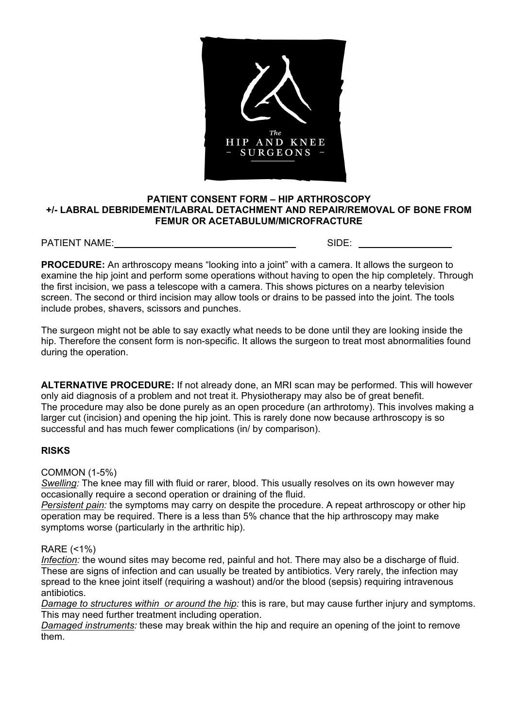

## **PATIENT CONSENT FORM – HIP ARTHROSCOPY +/- LABRAL DEBRIDEMENT/LABRAL DETACHMENT AND REPAIR/REMOVAL OF BONE FROM FEMUR OR ACETABULUM/MICROFRACTURE**

PATIENT NAME: SIDE:

**PROCEDURE:** An arthroscopy means "looking into a joint" with a camera. It allows the surgeon to examine the hip joint and perform some operations without having to open the hip completely. Through the first incision, we pass a telescope with a camera. This shows pictures on a nearby television screen. The second or third incision may allow tools or drains to be passed into the joint. The tools include probes, shavers, scissors and punches.

The surgeon might not be able to say exactly what needs to be done until they are looking inside the hip. Therefore the consent form is non-specific. It allows the surgeon to treat most abnormalities found during the operation.

**ALTERNATIVE PROCEDURE:** If not already done, an MRI scan may be performed. This will however only aid diagnosis of a problem and not treat it. Physiotherapy may also be of great benefit. The procedure may also be done purely as an open procedure (an arthrotomy). This involves making a larger cut (incision) and opening the hip joint. This is rarely done now because arthroscopy is so successful and has much fewer complications (in/ by comparison).

## **RISKS**

COMMON (1-5%)

*Swelling:* The knee may fill with fluid or rarer, blood. This usually resolves on its own however may occasionally require a second operation or draining of the fluid.

*Persistent pain:* the symptoms may carry on despite the procedure. A repeat arthroscopy or other hip operation may be required. There is a less than 5% chance that the hip arthroscopy may make symptoms worse (particularly in the arthritic hip).

## RARE (<1%)

*Infection:* the wound sites may become red, painful and hot. There may also be a discharge of fluid. These are signs of infection and can usually be treated by antibiotics. Very rarely, the infection may spread to the knee joint itself (requiring a washout) and/or the blood (sepsis) requiring intravenous antibiotics.

*Damage to structures within or around the hip:* this is rare, but may cause further injury and symptoms. This may need further treatment including operation.

*Damaged instruments:* these may break within the hip and require an opening of the joint to remove them.